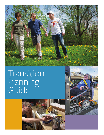

# Transition Planning Guide



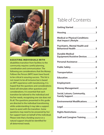

**ASSISTING INDIVIDUALS WITH** disabilitiestransition from facilities to the community requires careful planning, coordination and communication. The following are considerations that the Money Follows the Person (MFP) team have found to be critical in assuring success. This list is not meant to be all inclusive but is based on MFP experience with transitioning. It is hoped that the questions and considerations listed will stimulate other questions and considerations. It is essential that each transition be tailored to the individual and his/her needs, recognizing one size does not fit all. The questions presented in this guide are directed to the individual transitioning while understanding it may take a support team to assist with the transition. Some questions may need to be answered by his/ her support team on behalf of the individual. Please note that a funding source or a natural support should be identified for all determined needs.

## Table of Contents

| <b>Medical or Physical Conditions</b> |  |
|---------------------------------------|--|
| <b>Psychiatric, Mental Health and</b> |  |
| <b>Durable Medical</b>                |  |
|                                       |  |
|                                       |  |
|                                       |  |
|                                       |  |
|                                       |  |
|                                       |  |
| Social, Leisure, Community,           |  |
| Environmental Modifications9          |  |
|                                       |  |
|                                       |  |
| Staff and Caregiver Training9         |  |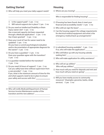## **Getting Started**

L

L  $\overline{a}$ L

 $\overline{a}$  $\overline{a}$ 

 $\square$  Who will help you meet your daily support needs?

## **Housing**

 $\overline{a}$ 

 $\overline{a}$ 

 $\overline{a}$  $\overline{a}$ 

 $\overline{a}$ 

L

¨ Where are you moving?

Who is responsible for finding housing?

- $\Box$  If housing has been found, does it meet your financial and accessibility needs?  $\circ$  yes  $\circ$  no
- $\square$  Who will/can sign the lease?  $\angle$
- $\square$  Can the housing support the voltage requirements for electrical medical equipment and what is the emergency medical back up arrangements?
- $\square$  Is subsidized housing available?  $\circ$  yes  $\circ$  no If so, who will make the application?
- $\square$  Who will follow up with any housing subsidy waiting lists?
- $\square$  Who will make application for utility assistance?
- $\square$  Who will set up utilities? Who will pay utilities?
- $\Box$  How much will you need for deposits and rent and how much will you need on-going? \_\_\_\_\_\_\_\_\_\_\_\_\_\_
- $\Box$  Will you have nearby access to community resources? (Examples: groceries, banks, rehab services) O yes O no
- $\circ$  Is the support paid?  $\circ$  yes  $\circ$  no
- $\circ$  Will natural supports be in place?  $\circ$  yes  $\circ$  no
- $\square$  Do you need an Intellectual Disability or Brain Injury waiver slot?  $\bigcirc$  yes  $\bigcirc$  no Has a reserved capacity slot been requested through a Medicaid application?  $\circ$  yes  $\circ$  no Has it been granted?  $\circ$  yes  $\circ$  no
- $\square$  Does your Level of Care for waiver need to be updated?  $\circ$  yes  $\circ$  no Do you have a current psychological evaluation and/or documentation of appropriate diagnosis for the waiver?  $\bigcirc$  yes  $\bigcirc$  no
- $\square$  Do you have a guardian?  $\bigcirc$  yes  $\bigcirc$  no Does your guardian agree with the transition?  $O$  yes  $O$  no
- $\square$  Is a guardian needed before the transition?  $O$  yes  $O$  no
- $\Box$  Do you need 24 hours of support?  $\bigcirc$  yes  $\bigcirc$  no Can you safely have time without supervision from a care provider?  $\circ$  yes  $\circ$  no If yes, what is the maximum amount of time for this and what supports need to be in place to ensure your safety and success with this?
- $\square$  Who will notify Medicaid/Department of Human Services Income Maintenance worker of the transition and the new address?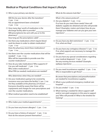## **Medical or Physical Conditions that Impact Lifestyle**

¨ Who is your primary care doctor

 $\overline{a}$ 

Will this be your doctor after the transition?  $O$  yes  $O$  no Has an appointment been scheduled?  $O$  yes  $O$  no

 $\square$  How many days' worth of medication is the discharge facility able to provide? Will prescription(s) be sent with you or to the pharmacy? How long are the prescriptions valid? \_\_\_\_\_\_\_\_\_\_

 $\square$  Are there any medications which require blood work be drawn in order to obtain medication?  $\circ$  yes  $\circ$  no Does the pharmacy stock these medications?

 $O$  yes  $O$  no  $\_\_\_\_\_\_\_\_\_\_\_\_\_\_\_\_$ 

 $\overline{a}$ 

 $\overline{a}$ 

L

L

 $\square$  Are there over-the-counter medications that will be needed?  $\circ$  yes  $\circ$  no Who will be responsible to provide over-the-

counter medications?  $\Box$  How do you take medications? Who supports it? Can you self-medicate?  $\circ$  yes  $\circ$  no

Who orders medications?

What PRN (as needed) medications are needed?  $\overline{a}$ 

Who determines when they are needed?

 $\Box$  Are your medications going to be covered by insurance once you leave the facility?  $\circ$  yes  $\circ$  no Are they available at the pharmacy of choice? Everyone should be aware that there will be copayments and charges for over prescriptions and over-the-counter medications.

 $\square$  What medical specialists need to be established?

- ¨ Who makes your medical appointments?
- $\square$  Do you have any known allergies?  $\bigcirc$  yes  $\bigcirc$  no
- $\Box$  Do you have a history of seizures?  $\bigcirc$  yes  $\bigcirc$  no How do the seizures present themselves?

What do the seizures look like? \_\_\_\_\_\_\_\_\_\_\_\_\_\_\_

What is the seizure protocol?

 $\overline{a}$ 

 $\overline{a}$ 

 $\overline{a}$ 

 $\overline{a}$ 

 $\overline{a}$ 

 $\overline{a}$ 

- $\square$  Are you diabetic?  $\bigcirc$  yes  $\bigcirc$  no If so how do you meet these needs? How will diabetic supplies be obtained and who will provide them? (Examples: meters and strips) How do you manage your diabetes and can you give your own injections?
- $\Box$  Do you have any diet restrictions?  $\circ$  yes  $\circ$  no If so, what are they?
- $\square$  Do you have any contagious diseases?  $\bigcirc$  yes  $\bigcirc$  no If so, what supports are necessary to manage this condition?
- $\square$  Do you have any special considerations regarding your medical diagnosis?  $\circ$  yes  $\circ$  no Are any nursing services needed? (Example: epilepsy injections)
- $\square$  Do you need incontinence supplies?  $\bigcirc$  yes  $\bigcirc$  no Who is responsible to get those?

Be aware that prescriptions and preauthorization are needed for incontinence supplies.

- $\square$  What is your preferred emergency medical care hospital?
- $\square$  Do you smoke?  $\bigcirc$  yes  $\bigcirc$  no
- $\square$  What training is needed for direct support staff and/or non-paid caregivers in this area to support you? Who will provide it? What is the timeline for training?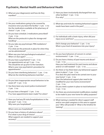## **Psychiatric, Mental Health and Behavioral Health**

 $\square$  What are your diagnoses(s) and how do they manifest?

L

 $\overline{a}$ 

L

 $\overline{a}$ 

 $\overline{a}$ 

- $\Box$  Are your medications going to be covered by insurance once you leave the facility?  $\circ$  yes  $\circ$  no Are the medications available at the pharmacy of choice?  $\circ$  yes  $\circ$  no
- $\square$  Do you have schedule 2 medications prescribed?  $O$  yes  $O$  no What are the protocols in place for storage and handling?
- $\square$  Do you take any psychotropic PRN mediations?  $O$  yes  $O$  no If so what are the protocols in place for when they can be administered?
- $\square$  When was your last psychological evaluation? \_\_\_\_\_ When is it due again?
- $\square$  Do you have a psychiatrist?  $\bigcirc$  yes  $\bigcirc$  no Are appointments set up?  $\circ$  yes  $\circ$  no This should be set up prior to the transition. What is your new psychiatrist's procedure for appointments?
- $\square$  Do you have interfering behaviors?  $\bigcirc$  yes  $\bigcirc$  no What do the interfering behaviors look like?
- $\Box$  Do you have inappropriate sexual behaviors to be aware of?  $\circ$  yes  $\circ$  no
- $\square$  Has there been any recent police involvement?  $O$  yes  $O$  no
- $\Box$  Do you have a therapist?  $\bigcirc$  yes  $\bigcirc$  no If so, have appointments been made? For when?
- $\Box$  Have you had any ER visits/hospitalizations in the last year?  $\bigcirc$  yes  $\bigcirc$  no Why were you hospitalized?

Where were you hospitalized?

 $\Box$  Do you have a history of substance abuse?  $\Box$ If so what is your drug of choice? What supports are needed to support your recovery?

 $\Box$  Have you been involuntarily discharged from any other facilities?  $\circ$  yes  $\circ$  no If so why?

 $\overline{a}$ 

L L

L

L  $\overline{a}$ 

 $\overline{\phantom{0}}$ 

 $\overline{a}$  $\overline{a}$ 

- $\square$  What tips and tricks for meeting behavioral support needs have been used in the past?
- $\Box$  For individuals with a brain injury, when did your injury occur and how?

Did it change your behavior?  $\bigcirc$  yes  $\bigcirc$  no What is your level of awareness into your injury?

- $\square$  Do you have behaviors of concern in certain environments? O yes O no
- $\Box$  Do you have a history of past trauma and abuse? ¡ yes ¡ no Have you had treatment for past trauma and abuse and/or is it still needed?  $\circ$  yes  $\circ$  no
- $\Box$  Are there or has there been any behavioral support plans in place?  $\circ$  yes  $\circ$  no If so does this plan need to be carried over to your new home?  $\bigcirc$  yes  $\bigcirc$  no Does the behavioral support plan need to be modified for your new home environment?  $O$  yes  $O$  no Do you need a system in place to track behaviors?
- $O$  yes  $O$  no  $\square$  Are there any environmental modifications needed to be made to your new home for safety purposes?
- $\square$  What training is needed for direct support staff and/or non-paid caregivers in this area to support you? Who will provide it? What is the timeline for training?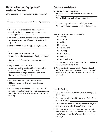## **Durable Medical Equipment/ Assistive Devices**

 $\overline{\phantom{0}}$ 

 $\overline{\phantom{0}}$ 

 $\overline{\phantom{0}}$ 

L

 $\overline{a}$ 

L  $\overline{\phantom{0}}$ L  $\overline{a}$  $\overline{\phantom{0}}$ 

- $\square$  What durable medical equipment do you own?
- $\square$  What needs to be purchased? Who will purchase it?
- $\square$  Has there been a face to face assessment for durable medical equipment with a community medical provider?  $\bigcirc$  yes  $\bigcirc$  no
- $\Box$  Is renting equipment needed until preauthorization is obtained an option? (Example: hospital bed)  $O$  yes  $O$  no
- $\square$  What kind of disposable supplies do you need?

What is your current level of use? What is the level of usage supported by Medicaid?

How will the difference be addressed if there is one?

- $\square$  Do you need assistive devices? (Examples: walker, hearing aid, communication device, Project Lifesaver) O yes O no Do these need to be purchased?  $\circ$  yes  $\circ$  no How will they be maintained?
- $\square$  What basic first aid supplies do you need? O Blood pressure O Thermometer O Scale ¡ Other
- $\square$  What training is needed for direct support staff and/or non-paid caregivers in this area to support you? Who will provide it? What is the timeline for training?

### **Personal Assistance**

- $\square$  How do you communicate?  $\_\_$ If there is a communication device, how do you use it? Who will help you maintain and/or update it?
- $\square$  Do you have positioning needs?  $\circ$  yes  $\circ$  no What supports do you need to meet these needs?

Is assistance/supervision is needed for:

□ Cooking

 $\overline{\phantom{0}}$ 

 $\overline{a}$ 

- □ Dressing
- $\square$  Bathing
- $\square$  Toileting
- $\square$  Oral hygiene
- $\square$  Cleaning
- $\square$  Accessibility
- $\square$  Shopping
- $\square$  Menstrual cycles
- $\square$  Do you need any adaptive devices to complete any of these tasks?  $\circ$  yes  $\circ$  no
- $\square$  What training is needed for direct support staff and/or non-paid caregivers in this area to support you? Who will provide it? What is the timeline for training?

### **Public Safety**

 $\overline{a}$ 

- $\square$  Do you know what to do in case of an emergency?  $O$  yes  $O$  no
- $\Box$  Do you know who to call if you do not feel safe or need assistance?
- $\square$  Do you have a disaster plan in place to cover your needs in the case of a disaster?  $\circ$  yes  $\circ$  no
- $\square$  What training is needed for direct support staff and/or non-paid caregivers in this area to support you? Who will provide it? What is the timeline for training?

L  $\overline{a}$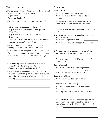## **Transportation**

 $\square$  What mode of transportation will you be using and do you need support arranging it?  $O$  yes  $O$  no

Who is paying for it?

 $\square$  What support do you need for transportation?

Is there a certain seat you need to sit in? Do you need to be a divider for safety purposes?  $O$  yes  $O$  no Do you need to be transported in a van?

 $O$  yes  $O$  no

 $\overline{a}$ 

L

 $\overline{a}$  $\overline{a}$ 

Is there accessible transportation available when transport is needed?  $\circ$  yes  $\circ$  no

- $\Box$  Is the community accessible?  $\circ$  yes  $\circ$  no (Examples: curbs, stairs, crossing the street)
- $\Box$  Are you safe in traveling in a vehicle?  $\bigcirc$  yes  $\bigcirc$  no What accommodations or support have been used in the past to help you be safe while traveling?
- $\square$  Are there any assistive devices that are needed during transportation?  $\circ$  yes  $\circ$  no (Examples: harnesses, calming devices)
- $\square$  What training is needed for direct support staff and/or non-paid caregivers in this area to support you? Who will provide it? What is the timeline for training?

## **Education**

### **If still in school:**

 $\overline{a}$ 

 $\overline{a}$ 

 $\overline{\phantom{0}}$ 

L

 $\overline{\phantom{0}}$ 

 $\overline{\phantom{0}}$ 

- $\square$  What is your home school district? What school district will you go to after the transition?
- $\square$  Who will authorize the school records to be transferred if you are transferring schools?
- $\Box$  Do you have an Individual Education Plan or 504?  $O$  yes  $O$  no
- $\square$  Is there a summer program available for you to attend?  $\circ$  yes  $\circ$  no What does this program look like? \_\_\_\_\_\_\_\_\_\_\_\_
- $\square$  What does the school's transportation look like?
- $\Box$  Are you involved in extracurricular activities?  $\Box$ If so, which activities will you be involved in?

Are there supports needed for participation?  $O$  yes  $O$  no

### **If out of school:**

 $\square$  Where did you graduate from high school?

When?

Was it a  $\square$  certificate or  $\square$  diploma?

### **Regardless of Age:**

 $\square$  What educational skills do you have?

(Examples: reading, writing)

- $\Box$  Would you like to continue your education?  $O$  yes  $O$  no What supports are needed to complete this?
- $\square$  What training is needed for direct support staff and/or non-paid caregivers in this area to support you? Who will provide it? What is the timeline for training?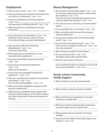## **Employment**

L

 $\overline{\phantom{0}}$ 

 $\overline{a}$ 

- $\square$  Do you want to work?  $\bigcirc$  yes  $\bigcirc$  no  $\bigcirc$  maybe
- $\square$  Have you had any past volunteer/work experience at school or in community?  $\circ$  yes  $\circ$  no
- $\Box$  Have you completed any training programs?  $O$  yes  $O$  no Has there been a certificate earned?  $\circ$  yes  $\circ$  no
- $\square$  What tasks have you completed at your jobs in the past?
- $\Box$  Do you have your I-9 information?  $\bigcirc$  yes  $\bigcirc$  no (Examples: driver's license, state ID, SS card.) If not, who will help you obtain identification?
- $\Box$  Have you been referred to Vocational Rehabilitation?  $\bigcirc$  yes  $\bigcirc$  no If not who will do that?
- $\square$  What supervision is required for you to be successful with employment? \_\_\_\_\_\_\_\_
- $\Box$  Have you received job coaching in the past?  $O$  yes  $O$  no
- $\square$  Do you have prevocational experience?  $O$  yes  $O$  no What was the duration?
- $\Box$  Do you have any segregated employment experience?  $\circ$  yes  $\circ$  no
- $\square$  Have you completed any employment/vocational assessments?  $\circ$  yes  $\circ$  no If so, are the results available?  $\circ$  yes  $\circ$  no
- $\square$  What community rehabilitation programs (CRP) have you worked with?
- $\square$  What training is needed for direct support staff and/or non-paid caregivers in this area to support you? Who will provide it? What is the timeline for training?

## **Money Management**

- $\Box$  Do you have a representative payee?  $\bigcirc$  yes  $\bigcirc$  no If so, will your representative payee continue after the transition?  $\circ$  yes  $\circ$  no If you do not have a representative payee, do you need one before the transition?  $\circ$  yes  $\circ$  no
- $\Box$  How will you access cash from your representative payee?
- $\Box$  Is your quardian also a conservator?  $\odot$  yes  $\odot$  no
- $\square$  Who will notify Social Security of the change in living arrangements?
- $\square$  Do you have past financial concerns/liens/debts owed?  $O$  yes  $O$  no
- $\Box$  Do you need a new bank account?  $\bigcirc$  yes  $\bigcirc$  no If yes, do you need help to set this up?  $\circ$  yes  $\circ$  no If so, who will assist?
- ¨ Who will help you apply for food stamps?
- $\square$  Do you have any trusts?  $\bigcirc$  yes  $\bigcirc$  no (Examples: burial, miller, special needs)
- $\square$  What are your sources of income?

 $\overline{\phantom{0}}$ 

L  $\overline{\phantom{0}}$ 

 $\overline{\phantom{0}}$  $\overline{\phantom{0}}$ 

 $\overline{\phantom{0}}$ 

L

Can an estimate be given on what your income will be once you transition?  $\circ$  yes  $\circ$  no  $\_\_\_\_\_\_\_\_\_\_\_\_$ 

## **Social, Leisure, Community, Family Support**

- $\square$  What activities can you do independently?
- $\square$  What activities or places should be avoided?
- $\square$  What activities do you participate in now that assistance is needed with?
- $\square$  What new activities would you like to experience and what support do you need for this?
- $\square$  What assistance do you need for community mobility?
- $\square$  Do you have the ability to financially support your  $interests?$   $\bigcirc$  yes  $\bigcirc$  no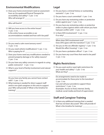## **Environmental Modifications**

 $\square$  Does your home environment need an assessment from an Occupational/Physical Therapist for accessibility and safety?  $\circ$  yes  $\circ$  no Who will arrange it?

Who will fund it?

 $\overline{a}$ 

L L

L  $\overline{\phantom{0}}$ 

 $\overline{\phantom{0}}$ 

 $\overline{\phantom{0}}$ 

- $\Box$  Will you have access to the entire house?  $O$  yes  $O$  no Is the entire house accessible or are accommodations needed and how will it be paid?
- $\Box$  Do you need a calm room/sensory room?  $O$  yes  $O$  no
- $\Box$  Do you need vehicle modifications?  $\bigcirc$  yes  $\bigcirc$  no Who is paying for it?
- $\square$  Does your home need any modifications needed to prevent property damage or for safety reasons?  $O$  yes  $O$  no
- $\Box$  Do you have any safety concerns in regards to using public restrooms?  $\circ$  yes  $\circ$  no
- $\square$  What is your level of family involvement and natural supports?

Do you have any family you cannot have contact with?  $\circ$  yes  $\circ$  no

 $\square$  What training is needed for direct support staff and/or non-paid caregivers in this area to support you? Who will provide it? What is the timeline for training?

### **Legal**

 $\overline{a}$ 

- $\Box$  Do you have a criminal history or outstanding warrants?  $\bigcirc$  yes  $\bigcirc$  no
- $\Box$  Do you have a court committal?  $\bigcirc$  yes  $\bigcirc$  no
- $\square$  Do you have any restraining orders or protective orders against you?  $\circ$  yes  $\circ$  no
- $\Box$  Do you have any restraining orders or protective orders in place against others with whom you have had past conflict with?  $\circ$  yes  $\circ$  no
- $\square$  Is there DHS involvement?  $\circ$  yes  $\circ$  no If so why?

When does DHS involvement end? Does DHS agree with the transition?  $\circ$  yes  $\circ$  no

- $\Box$  Are you on the sex offender registry?  $\bigcirc$  yes  $\bigcirc$  no Would this affect housing?  $\circ$  yes  $\circ$  no
- $\Box$  Do you have a probation officer?  $\circ$  yes  $\circ$  no
- $\Box$  Do you have any court fines that need to be paid?  $O$  yes  $O$  no

## **Rights Restrictions**

 $\square$  Do you want and/or need right restrictions for your health and safety?  $\circ$  yes  $\circ$  no What are they?

L Do arrangements need to be made to accommodate for these prior to the transition?  $O$  yes  $O$  no Can and will your provider(s) support these restrictions?  $\bigcirc$  yes  $\bigcirc$  no (Examples: Access to food, internet, family, medical, social media and level of supervision)

## **Staff and Caregiver Training**

 $\Box$  Is there any additional training that is needed that has not been discussed? Who will provide it? What is the timeline for training?

 $\overline{a}$  $\overline{a}$ 

 $\overline{a}$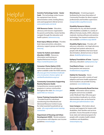## Helpful **Resources**



### **Assistive Technology Center** - **Easter**

**Seals** - The technology center houses the equipment loan service, demonstration center, lending library and used equipment referral service: [www.easterseals.com/ia/at](http://www.easterseals.com/ia/at)

**ASK Resource Center** - Education, advocacy and resource organization for parents and families. Assists families navigate through the education and health systems: [askresource.org](http://askresource.org/)

**Brain Injury Alliance of Iowa** - Provides brain injury prevention, education, advocacy, support groups and training: [biaia.org](https://biaia.org)

**Center for Autism and related disorders (CARD)** - Resources, information and training on Applied Behavioral Analysis: <https://centerforautism.com>

### **Consumer Choice Option (CCO)** -

Information about the self-direction option available under the HCBS waivers: [dhs.iowa.gov/ime/members/medicaid](http://dhs.iowa.gov/ime/members/medicaid-a-to-z/consumer-choices-option)[a-to-z/consumer-choices-option](http://dhs.iowa.gov/ime/members/medicaid-a-to-z/consumer-choices-option) or [veridianfiscalsolutions.org/cco/](http://www.veridianfiscalsolutions.org/cco/)

### **Community Connections Supporting Reentry Resource Guide** -

Comprehensive resource guide for programs in various communities throughout the state: [doc.iowa.gov/](https://doc.iowa.gov/quick-link/ccsr-resource) [quick-link/ccsr-resource](https://doc.iowa.gov/quick-link/ccsr-resource)

### **Conner Training Connection Grant**

- Provided funds for individuals transitioning from Woodward and Glenwood Resource Centers to pay for initial essential household set up costs: [uihc.org/ucedd/conner-training](https://uihc.org/ucedd/conner-training-connection)[connection](https://uihc.org/ucedd/conner-training-connection)

**Department of Housing and Urban Development (HUD)** - Rental assistance and assistance with disputes over income guidelines: [www.hud.gov](https://www.hud.gov)

**DirectCourse** - A training program facilitated by the Iowa Association of Community Providers for direct support professionals and frontline supervisors: [iowaproviders.org/directcourse](http://www.iowaproviders.org/directcourse)

### **Disability Resource Library** -

Information for, by, and about people with disabilities available in a variety of different formats; books, DVDS, reference materials, training software and assistive technology. Free research assistance it is also available: [uichildrens.org/cdd/drl](https://uichildrens.org/cdd/drl)

**Disability Rights Iowa** - Provides selfadvocacy, education, non-legal advocacy and legal and systems advocacy to people with disabilities that have faced discrimination, denied services or faced abuse: [disabilityrightsiowa.org](https://disabilityrightsiowa.org/)

**Epilepsy Foundation of Iowa** - Support, advocacy, education: [epilepsyiowa.org/](http://www.epilepsyiowa.org/)

**Food Bank of Iowa** - Locate local food pantries and resources: [foodbankiowa.org/gethelp](https://www.foodbankiowa.org/gethelp)

**Habitat for Humanity** - Stores throughout Iowa with a variety of used adaptive and home health equipment. Some locations can provide housing assistance: [www.habitat.org/](https://www.habitat.org/)

**Home and Community Based Services (HCBS)** - Information about waivers, programs and services available under Medicaid: http://dhs.iowa.gov/ ime/members/medicaid-a-to-z/hcbs. Administrative rules can be found at [dhs.iowa.gov/administrative-rules](http://dhs.iowa.gov/administrative-rules)

**Iowa Compass** - Information about services and supports for Iowans with disabilities, their families and services providers. Access thousands of unique local, state and national programs for people with complex health-related conditions and disabilities: [iowacompass.org](https://iowacompass.org/)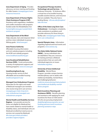**Iowa Department of Aging - Provides** advocacy, services, training and funding for older Iowans: [iowaaging.gov/news](https://www.iowaaging.gov/news-resources/resources)[resources/resources](https://www.iowaaging.gov/news-resources/resources)

### **Iowa Department of Human Rights-Client Assistance Program (CAP)** -

Assistance with negotiation, mediation and conflict resolution with programs funded under the Rehabilitation Act: [humanrights.iowa.gov/cas/pd/client](https://humanrights.iowa.gov/cas/pd/client-assistance-program)[assistance-program](https://humanrights.iowa.gov/cas/pd/client-assistance-program)

### **Iowa Department of the Blind** -

Helps educate, train and empower blind and low vision individuals to pursue lifelong goals: [blind.iowa.gov/](https://blind.iowa.gov/)

### **Iowa Finance Authority** -

Affordable housing information and rent subsidy programs including the HCBS rent subsidy program: [www.iowafinanceauthority.gov](http://www.iowafinanceauthority.gov)

### **Iowa Vocational Rehabilitation Services (IVRS)** - Funds and provides a variety of employment supports and

training programs: [www.ivrs.iowa.gov](http://www.ivrs.iowa.gov/)

### **IowaHousingSearch.org** -

Housing locator service to find affordable and accessible housing: [iowahousingsearch.org/](http://iowahousingsearch.org/)

### **Managed Care Ombudsman Program**-

Advocates for the rights and needs of Medicaid managed care members who receive long-term care services: [iowaaging.gov/state-long-term](https://www.iowaaging.gov/state-long-term-care-ombudsman/managed-care-ombudsman-program)[care-ombudsman/managed-care](https://www.iowaaging.gov/state-long-term-care-ombudsman/managed-care-ombudsman-program)[ombudsman-program](https://www.iowaaging.gov/state-long-term-care-ombudsman/managed-care-ombudsman-program)

### **Mental Health and Disability Services**

**Regions** - Can provide services for those not eligible for Medicaid but have needs related to mental health or disability status, and individuals who are Medicaid enrolled but need access to services not covered by Medicaid: [dhs.iowa.gov/mhds-providers/](https://dhs.iowa.gov/mhds-providers/providers-regions/regions) [providers-regions/regions](https://dhs.iowa.gov/mhds-providers/providers-regions/regions)

### **Occupational Therapy Assistive Technology Lab and Services** - St.

Ambrose University - St Ambrose-offers a virtual tour of accessible housing, possible assistive devices, and resources that are available. They also have a lending library. [info.sau.edu/jimsplace/](https://info.sau.edu/jimsplace/take-the-tour/) [take-the-tour](https://info.sau.edu/jimsplace/take-the-tour/)

#### **Office of the State Long Term-Care**

**Ombudsman** - Investigates complaints, seeks resolutions to problems and provides advocacy for those living in facility care. [iowaaging.gov/state-long](https://www.iowaaging.gov/state-long-term-care-ombudsman)[term-care-ombudsman](https://www.iowaaging.gov/state-long-term-care-ombudsman)

**Special Olympics Iowa** - Information regarding regional and local events and programs: [www.soiowa.org](http://www.soiowa.org)

### **The Helen Keller National Center**

**(HKNC)** - Serves individuals who are deaf/blind. They are a resource for training and have a Midwest representative that can work with individuals/agencies on issues: [helenkeller.org/hknc](https://www.helenkeller.org/hknc)

### **University of Iowa Intellectual**

**Disability** - Mental Illness Program- provides compre-hensive interdisciplinary care to adults with intellectual disability, mental illness and challenging behavior: [medicine.uiowa.edu/psychiatry/patient](https://medicine.uiowa.edu/psychiatry/patient-care/intellectual-disability-mental-illness-program)[care/intellectual-disability-mental](https://medicine.uiowa.edu/psychiatry/patient-care/intellectual-disability-mental-illness-program)[illness-program](https://medicine.uiowa.edu/psychiatry/patient-care/intellectual-disability-mental-illness-program)

**Work Incentives Planning and Assistance (WIPA)** - Benefits planning and assistance with applying for work incentives for those on SSDI and/or SSI who are pursuing employment: [disabilityrightsiowa.org/who-we-are/](https://disabilityrightsiowa.org/who-we-are/funding-partners/work-incentives-planning-assistance-wipa/) [funding-partners/work-incentives](https://disabilityrightsiowa.org/who-we-are/funding-partners/work-incentives-planning-assistance-wipa/)[planning-assistance-wipa](https://disabilityrightsiowa.org/who-we-are/funding-partners/work-incentives-planning-assistance-wipa/)

## Notes